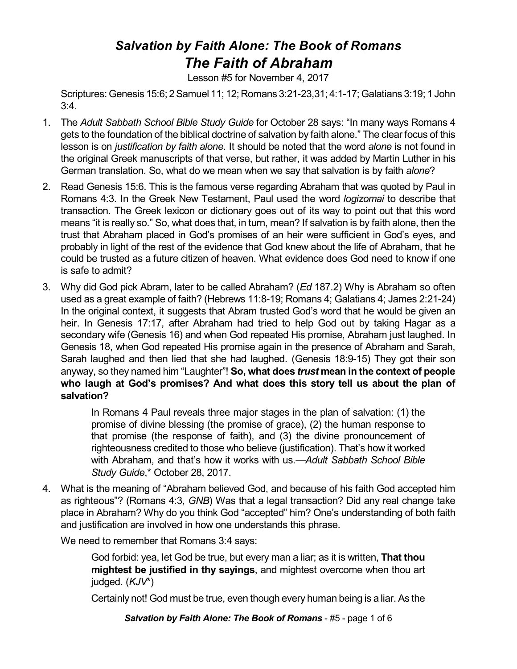## *Salvation by Faith Alone: The Book of Romans The Faith of Abraham*

Lesson #5 for November 4, 2017

Scriptures: Genesis 15:6; 2Samuel 11; 12; Romans 3:21-23,31; 4:1-17; Galatians 3:19; 1 John 3:4.

- 1. The *Adult Sabbath School Bible Study Guide* for October 28 says: "In many ways Romans 4 gets to the foundation of the biblical doctrine of salvation by faith alone." The clear focus of this lesson is on *justification by faith alone*. It should be noted that the word *alone* is not found in the original Greek manuscripts of that verse, but rather, it was added by Martin Luther in his German translation. So, what do we mean when we say that salvation is by faith *alone*?
- 2. Read Genesis 15:6. This is the famous verse regarding Abraham that was quoted by Paul in Romans 4:3. In the Greek New Testament, Paul used the word *logizomai* to describe that transaction. The Greek lexicon or dictionary goes out of its way to point out that this word means "it is really so." So, what does that, in turn, mean? If salvation is by faith alone, then the trust that Abraham placed in God's promises of an heir were sufficient in God's eyes, and probably in light of the rest of the evidence that God knew about the life of Abraham, that he could be trusted as a future citizen of heaven. What evidence does God need to know if one is safe to admit?
- 3. Why did God pick Abram, later to be called Abraham? (*Ed* 187.2) Why is Abraham so often used as a great example of faith? (Hebrews 11:8-19; Romans 4; Galatians 4; James 2:21-24) In the original context, it suggests that Abram trusted God's word that he would be given an heir. In Genesis 17:17, after Abraham had tried to help God out by taking Hagar as a secondary wife (Genesis 16) and when God repeated His promise, Abraham just laughed. In Genesis 18, when God repeated His promise again in the presence of Abraham and Sarah, Sarah laughed and then lied that she had laughed. (Genesis 18:9-15) They got their son anyway, so they named him "Laughter"! **So, what does** *trust* **mean in the context of people who laugh at God's promises? And what does this story tell us about the plan of salvation?**

In Romans 4 Paul reveals three major stages in the plan of salvation: (1) the promise of divine blessing (the promise of grace), (2) the human response to that promise (the response of faith), and (3) the divine pronouncement of righteousness credited to those who believe (justification). That's how it worked with Abraham, and that's how it works with us.—*Adult Sabbath School Bible Study Guide*,\* October 28, 2017.

4. What is the meaning of "Abraham believed God, and because of his faith God accepted him as righteous"? (Romans 4:3, *GNB*) Was that a legal transaction? Did any real change take place in Abraham? Why do you think God "accepted" him? One's understanding of both faith and justification are involved in how one understands this phrase.

We need to remember that Romans 3:4 says:

God forbid: yea, let God be true, but every man a liar; as it is written, **That thou mightest be justified in thy sayings**, and mightest overcome when thou art judged. (*KJV*\*)

Certainly not! God must be true, even though every human being is a liar. As the

*Salvation by Faith Alone: The Book of Romans* - #5 - page 1 of 6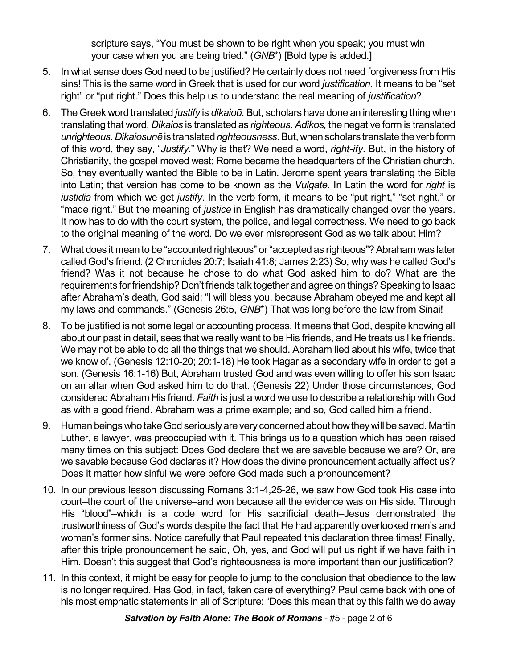scripture says, "You must be shown to be right when you speak; you must win your case when you are being tried." (*GNB*\*) [Bold type is added.]

- 5. In what sense does God need to be justified? He certainly does not need forgiveness from His sins! This is the same word in Greek that is used for our word *justification*. It means to be "set right" or "put right." Does this help us to understand the real meaning of *justification*?
- 6. The Greek word translated *justify* is *dikaioô*. But, scholars have done an interesting thing when translating that word. *Dikaios* is translated as *righteous*. *Adikos,* the negative form is translated *unrighteous*. *Dikaiosunç*is translated*righteousness*.But, whenscholars translatetheverbform of this word, they say, "*Justify*." Why is that? We need a word, *right-ify*. But, in the history of Christianity, the gospel moved west; Rome became the headquarters of the Christian church. So, they eventually wanted the Bible to be in Latin. Jerome spent years translating the Bible into Latin; that version has come to be known as the *Vulgate*. In Latin the word for *right* is *iustidia* from which we get *justify*. In the verb form, it means to be "put right," "set right," or "made right." But the meaning of *justice* in English has dramatically changed over the years. It now has to do with the court system, the police, and legal correctness. We need to go back to the original meaning of the word. Do we ever misrepresent God as we talk about Him?
- 7. What does it mean to be "accounted righteous" or "accepted as righteous"?Abraham was later called God's friend. (2 Chronicles 20:7; Isaiah 41:8; James 2:23) So, why was he called God's friend? Was it not because he chose to do what God asked him to do? What are the requirements for friendship? Don't friends talk together and agree on things? Speaking to Isaac after Abraham's death, God said: "I will bless you, because Abraham obeyed me and kept all my laws and commands." (Genesis 26:5, *GNB*\*) That was long before the law from Sinai!
- 8. To be justified is not some legal or accounting process. It means that God, despite knowing all about our past in detail, sees that we really want to be His friends, and He treats us like friends. We may not be able to do all the things that we should. Abraham lied about his wife, twice that we know of. (Genesis 12:10-20; 20:1-18) He took Hagar as a secondary wife in order to get a son. (Genesis 16:1-16) But, Abraham trusted God and was even willing to offer his son Isaac on an altar when God asked him to do that. (Genesis 22) Under those circumstances, God considered Abraham His friend. *Faith* is just a word we use to describe a relationship with God as with a good friend. Abraham was a prime example; and so, God called him a friend.
- 9. Human beings who take God seriously are very concerned about how they will be saved. Martin Luther, a lawyer, was preoccupied with it. This brings us to a question which has been raised many times on this subject: Does God declare that we are savable because we are? Or, are we savable because God declares it? How does the divine pronouncement actually affect us? Does it matter how sinful we were before God made such a pronouncement?
- 10. In our previous lesson discussing Romans 3:1-4,25-26, we saw how God took His case into court–the court of the universe–and won because all the evidence was on His side. Through His "blood"–which is a code word for His sacrificial death–Jesus demonstrated the trustworthiness of God's words despite the fact that He had apparently overlooked men's and women's former sins. Notice carefully that Paul repeated this declaration three times! Finally, after this triple pronouncement he said, Oh, yes, and God will put us right if we have faith in Him. Doesn't this suggest that God's righteousness is more important than our justification?
- 11. In this context, it might be easy for people to jump to the conclusion that obedience to the law is no longer required. Has God, in fact, taken care of everything? Paul came back with one of his most emphatic statements in all of Scripture: "Does this mean that by this faith we do away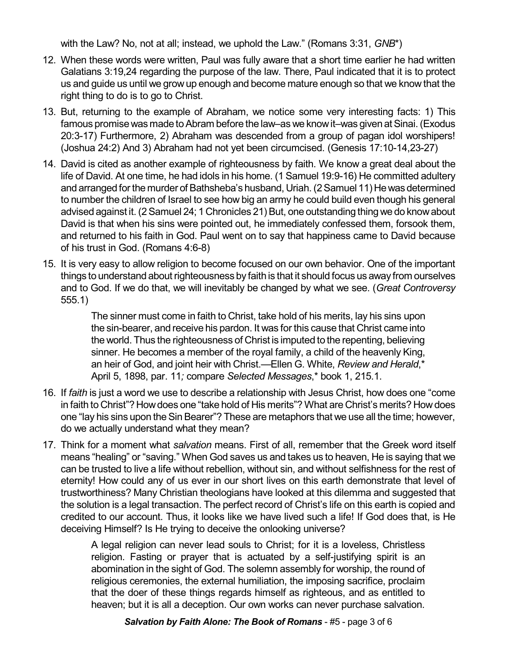with the Law? No, not at all; instead, we uphold the Law." (Romans 3:31, *GNB*\*)

- 12. When these words were written, Paul was fully aware that a short time earlier he had written Galatians 3:19,24 regarding the purpose of the law. There, Paul indicated that it is to protect us and guide us until we grow up enough and become mature enough so that we know that the right thing to do is to go to Christ.
- 13. But, returning to the example of Abraham, we notice some very interesting facts: 1) This famous promise was made to Abram before the law–as we know it–was given at Sinai. (Exodus 20:3-17) Furthermore, 2) Abraham was descended from a group of pagan idol worshipers! (Joshua 24:2) And 3) Abraham had not yet been circumcised. (Genesis 17:10-14,23-27)
- 14. David is cited as another example of righteousness by faith. We know a great deal about the life of David. At one time, he had idols in his home. (1 Samuel 19:9-16) He committed adultery and arranged for the murder of Bathsheba's husband, Uriah. (2 Samuel 11) He was determined to number the children of Israel to see how big an army he could build even though his general advised against it. (2Samuel 24; 1 Chronicles 21) But, one outstanding thing we do knowabout David is that when his sins were pointed out, he immediately confessed them, forsook them, and returned to his faith in God. Paul went on to say that happiness came to David because of his trust in God. (Romans 4:6-8)
- 15. It is very easy to allow religion to become focused on our own behavior. One of the important things to understand about righteousness by faith is that it should focus us away from ourselves and to God. If we do that, we will inevitably be changed by what we see. (*Great Controversy* 555.1)

The sinner must come in faith to Christ, take hold of his merits, lay his sins upon the sin-bearer, and receive his pardon. It was for this cause that Christ came into the world. Thus the righteousness of Christ is imputed to the repenting, believing sinner. He becomes a member of the royal family, a child of the heavenly King, an heir of God, and joint heir with Christ.—Ellen G. White, *Review and Herald*,\* April 5, 1898, par. 11*;* compare *Selected Messages*,\* book 1, 215.1.

- 16. If *faith* is just a word we use to describe a relationship with Jesus Christ, how does one "come in faith to Christ"? Howdoes one "take hold of His merits"? What are Christ's merits? Howdoes one "lay his sins upon the Sin Bearer"? These are metaphors that we use all the time; however, do we actually understand what they mean?
- 17. Think for a moment what *salvation* means. First of all, remember that the Greek word itself means "healing" or "saving." When God saves us and takes us to heaven, He is saying that we can be trusted to live a life without rebellion, without sin, and without selfishness for the rest of eternity! How could any of us ever in our short lives on this earth demonstrate that level of trustworthiness? Many Christian theologians have looked at this dilemma and suggested that the solution is a legal transaction. The perfect record of Christ's life on this earth is copied and credited to our account. Thus, it looks like we have lived such a life! If God does that, is He deceiving Himself? Is He trying to deceive the onlooking universe?

A legal religion can never lead souls to Christ; for it is a loveless, Christless religion. Fasting or prayer that is actuated by a self-justifying spirit is an abomination in the sight of God. The solemn assembly for worship, the round of religious ceremonies, the external humiliation, the imposing sacrifice, proclaim that the doer of these things regards himself as righteous, and as entitled to heaven; but it is all a deception. Our own works can never purchase salvation.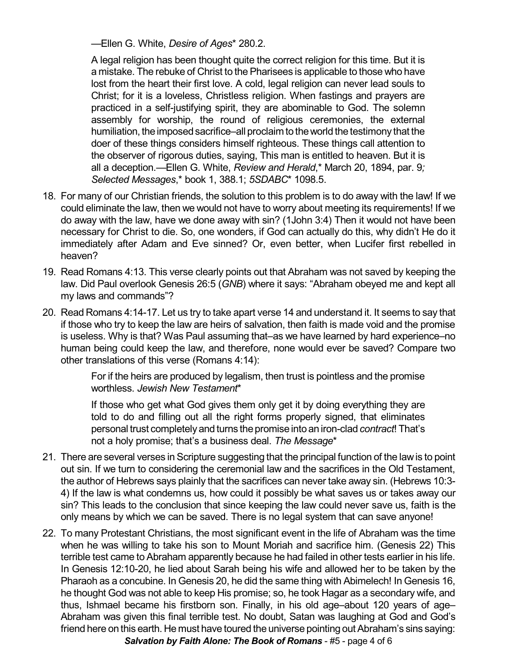—Ellen G. White, *Desire of Ages*\* 280.2.

A legal religion has been thought quite the correct religion for this time. But it is a mistake. The rebuke of Christ to the Pharisees is applicable to those who have lost from the heart their first love. A cold, legal religion can never lead souls to Christ; for it is a loveless, Christless religion. When fastings and prayers are practiced in a self-justifying spirit, they are abominable to God. The solemn assembly for worship, the round of religious ceremonies, the external humiliation, the imposed sacrifice–all proclaim to the world the testimony that the doer of these things considers himself righteous. These things call attention to the observer of rigorous duties, saying, This man is entitled to heaven. But it is all a deception.—Ellen G. White, *Review and Herald*,\* March 20, 1894, par. 9*; Selected Messages*,\* book 1, 388.1; *5SDABC*\* 1098.5.

- 18. For many of our Christian friends, the solution to this problem is to do away with the law! If we could eliminate the law, then we would not have to worry about meeting its requirements! If we do away with the law, have we done away with sin? (1John 3:4) Then it would not have been necessary for Christ to die. So, one wonders, if God can actually do this, why didn't He do it immediately after Adam and Eve sinned? Or, even better, when Lucifer first rebelled in heaven?
- 19. Read Romans 4:13. This verse clearly points out that Abraham was not saved by keeping the law. Did Paul overlook Genesis 26:5 (*GNB*) where it says: "Abraham obeyed me and kept all my laws and commands"?
- 20. Read Romans 4:14-17. Let us try to take apart verse 14 and understand it. It seems to say that if those who try to keep the law are heirs of salvation, then faith is made void and the promise is useless. Why is that? Was Paul assuming that–as we have learned by hard experience–no human being could keep the law, and therefore, none would ever be saved? Compare two other translations of this verse (Romans 4:14):

For if the heirs are produced by legalism, then trust is pointless and the promise worthless. *Jewish New Testament*\*

If those who get what God gives them only get it by doing everything they are told to do and filling out all the right forms properly signed, that eliminates personal trust completely and turns thepromise intoan iron-clad *contract*! That's not a holy promise; that's a business deal. *The Message*\*

- 21. There are several verses in Scripture suggesting that the principal function of the lawis to point out sin. If we turn to considering the ceremonial law and the sacrifices in the Old Testament, the author of Hebrews says plainly that the sacrifices can never take away sin. (Hebrews 10:3- 4) If the law is what condemns us, how could it possibly be what saves us or takes away our sin? This leads to the conclusion that since keeping the law could never save us, faith is the only means by which we can be saved. There is no legal system that can save anyone!
- 22. To many Protestant Christians, the most significant event in the life of Abraham was the time when he was willing to take his son to Mount Moriah and sacrifice him. (Genesis 22) This terrible test came to Abraham apparently because he had failed in other tests earlier in his life. In Genesis 12:10-20, he lied about Sarah being his wife and allowed her to be taken by the Pharaoh as a concubine. In Genesis 20, he did the same thing with Abimelech! In Genesis 16, he thought God was not able to keep His promise; so, he took Hagar as a secondary wife, and thus, Ishmael became his firstborn son. Finally, in his old age–about 120 years of age– Abraham was given this final terrible test. No doubt, Satan was laughing at God and God's friend here on this earth. He must have toured the universe pointing out Abraham's sins saying: *Salvation by Faith Alone: The Book of Romans* - #5 - page 4 of 6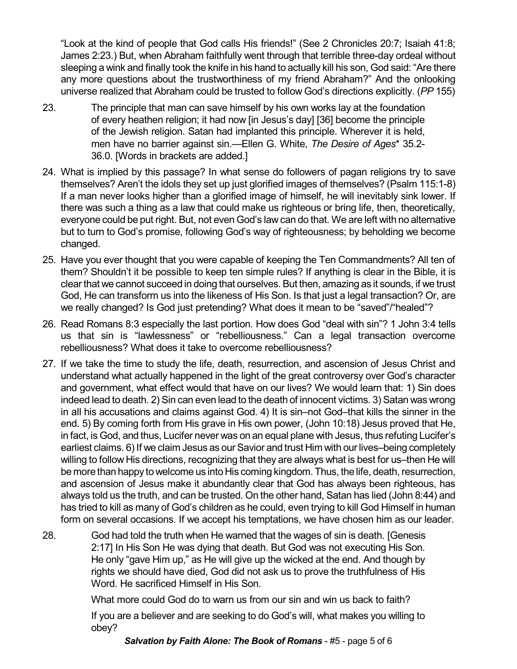"Look at the kind of people that God calls His friends!" (See 2 Chronicles 20:7; Isaiah 41:8; James 2:23.) But, when Abraham faithfully went through that terrible three-day ordeal without sleeping a wink and finally took the knife in his hand to actually kill his son, God said: "Are there any more questions about the trustworthiness of my friend Abraham?" And the onlooking universe realized that Abraham could be trusted to follow God's directions explicitly. (*PP* 155)

- 23. The principle that man can save himself by his own works lay at the foundation of every heathen religion; it had now [in Jesus's day] [36] become the principle of the Jewish religion. Satan had implanted this principle. Wherever it is held, men have no barrier against sin.—Ellen G. White, *The Desire of Ages*\* 35.2- 36.0. [Words in brackets are added.]
- 24. What is implied by this passage? In what sense do followers of pagan religions try to save themselves? Aren't the idols they set up just glorified images of themselves? (Psalm 115:1-8) If a man never looks higher than a glorified image of himself, he will inevitably sink lower. If there was such a thing as a law that could make us righteous or bring life, then, theoretically, everyone could be put right. But, not even God's law can do that. We are left with no alternative but to turn to God's promise, following God's way of righteousness; by beholding we become changed.
- 25. Have you ever thought that you were capable of keeping the Ten Commandments? All ten of them? Shouldn't it be possible to keep ten simple rules? If anything is clear in the Bible, it is clear that we cannot succeed in doing that ourselves. But then, amazing as it sounds, if we trust God, He can transform us into the likeness of His Son. Is that just a legal transaction? Or, are we really changed? Is God just pretending? What does it mean to be "saved"/"healed"?
- 26. Read Romans 8:3 especially the last portion. How does God "deal with sin"? 1 John 3:4 tells us that sin is "lawlessness" or "rebelliousness." Can a legal transaction overcome rebelliousness? What does it take to overcome rebelliousness?
- 27. If we take the time to study the life, death, resurrection, and ascension of Jesus Christ and understand what actually happened in the light of the great controversy over God's character and government, what effect would that have on our lives? We would learn that: 1) Sin does indeed lead to death. 2) Sin can even lead to the death of innocent victims. 3) Satan was wrong in all his accusations and claims against God. 4) It is sin–not God–that kills the sinner in the end. 5) By coming forth from His grave in His own power, (John 10:18) Jesus proved that He, in fact, is God, and thus, Lucifer never was on an equal plane with Jesus, thus refuting Lucifer's earliest claims. 6) If we claim Jesus as our Savior and trust Him with ourlives–being completely willing to follow His directions, recognizing that they are always what is best for us–then He will be more than happy to welcome us into His coming kingdom. Thus, the life, death, resurrection, and ascension of Jesus make it abundantly clear that God has always been righteous, has always told us the truth, and can be trusted. On the other hand, Satan has lied (John 8:44) and has tried to kill as many of God's children as he could, even trying to kill God Himself in human form on several occasions. If we accept his temptations, we have chosen him as our leader.
- 28. God had told the truth when He warned that the wages of sin is death. [Genesis 2:17] In His Son He was dying that death. But God was not executing His Son. He only "gave Him up," as He will give up the wicked at the end. And though by rights we should have died, God did not ask us to prove the truthfulness of His Word. He sacrificed Himself in His Son.

What more could God do to warn us from our sin and win us back to faith?

If you are a believer and are seeking to do God's will, what makes you willing to obey?